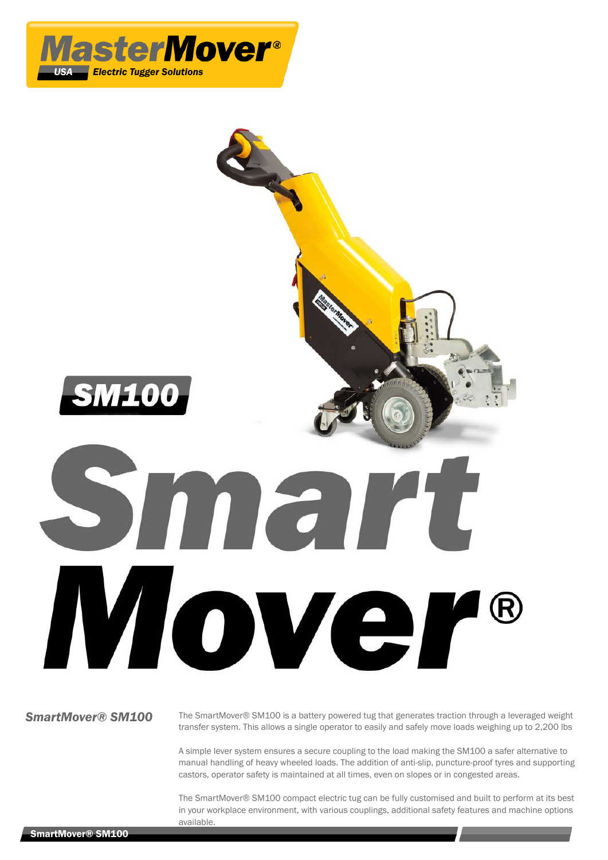



**SmartMover® SM100** The SmartMover® SM100 is a battery powered tug that generates traction through a leveraged weight transfer system. This allows a single operator to easily and safely move loads weighing up to 2,200 lbs

> A simple lever system ensures a secure coupling to the load making the SM100 a safer alternative to manual handling of heavy wheeled loads. The addition of anti-slip, puncture-proof tyres and supporting castors, operator safety is maintained at all times, even on slopes or in congested areas.

> The SmartMover® SM100 compact electric tug can be fully customised and built to perform at its best in your workplace environment, with various couplings, additional safety features and machine options available.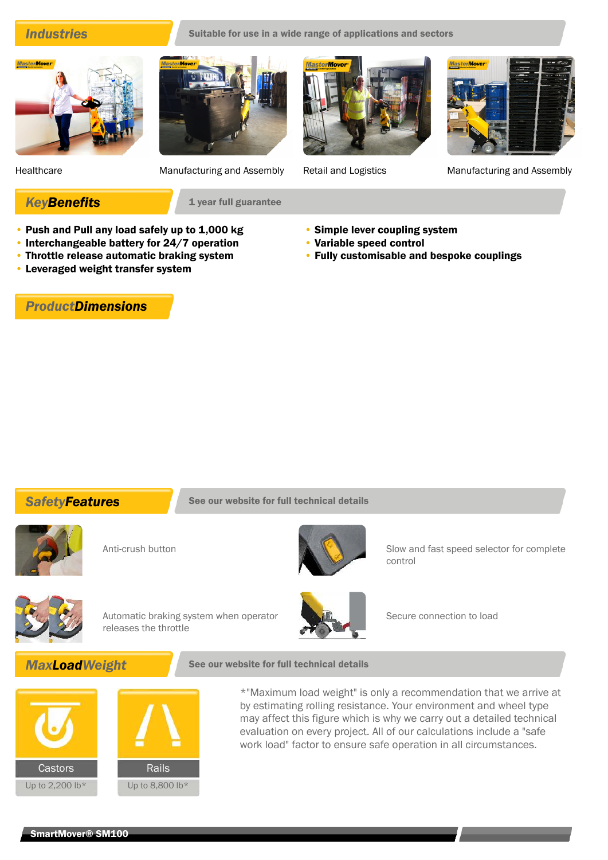**Industries** Suitable for use in a wide range of applications and sectors











Healthcare Manufacturing and Assembly Retail and Logistics Manufacturing and Assembly

**KeyBenefits** 1 year full guarantee

- Push and Pull any load safely up to 1,000 kg
- Interchangeable battery for 24/7 operation
- Throttle release automatic braking system
- Leveraged weight transfer system

# *ProductDimensions*

- Simple lever coupling system
- Variable speed control
- Fully customisable and bespoke couplings

**SafetyFeatures** See our website for full technical details





Anti-crush button Slow and fast speed selector for complete control



Automatic braking system when operator releases the throttle



Secure connection to load

## **MaxLoadWeight** See our website for full technical details



\*"Maximum load weight" is only a recommendation that we arrive at by estimating rolling resistance. Your environment and wheel type may affect this figure which is why we carry out a detailed technical evaluation on every project. All of our calculations include a "safe work load" factor to ensure safe operation in all circumstances.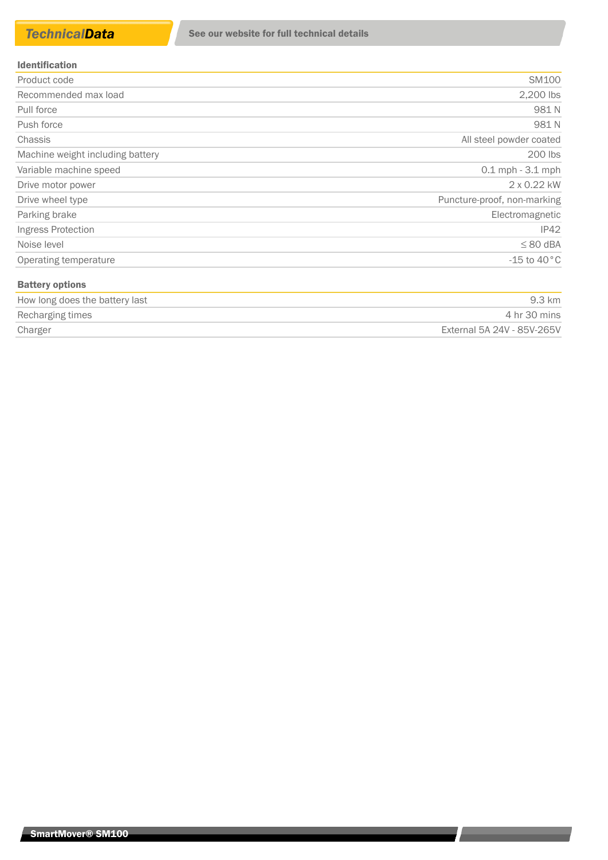### Identification

| Product code                     | SM100                       |
|----------------------------------|-----------------------------|
| Recommended max load             | 2,200 lbs                   |
| Pull force                       | 981N                        |
| Push force                       | 981N                        |
| Chassis                          | All steel powder coated     |
| Machine weight including battery | 200 lbs                     |
| Variable machine speed           | $0.1$ mph $-3.1$ mph        |
| Drive motor power                | 2 x 0.22 kW                 |
| Drive wheel type                 | Puncture-proof, non-marking |
| Parking brake                    | Electromagnetic             |
| Ingress Protection               | IP42                        |
| Noise level                      | $\leq 80$ dBA               |
| Operating temperature            | $-15$ to $40^{\circ}$ C     |
| <b>Battery options</b>           |                             |

| How long does the battery last | 9.3 km                     |
|--------------------------------|----------------------------|
| Recharging times               | 4 hr 30 mins               |
| Charger                        | External 5A 24V - 85V-265V |

<u> London a componente de la provincia de la provincia de la provincia de la provincia de la provincia de la provi</u>